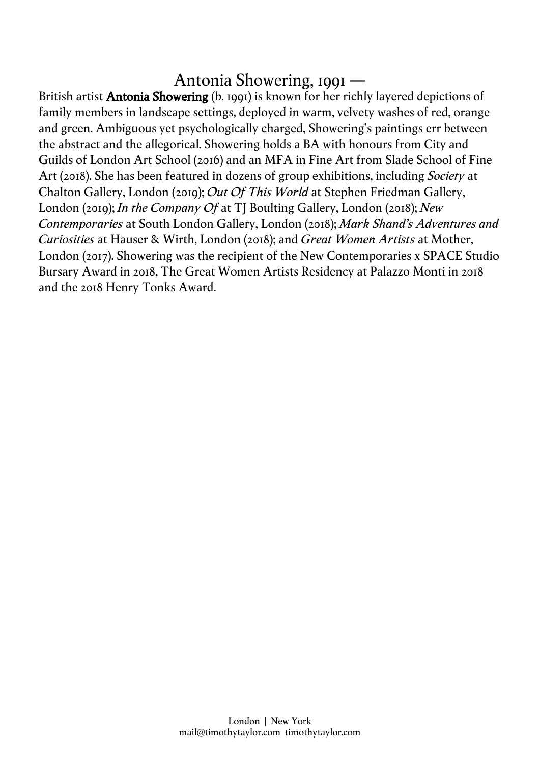# Antonia Showering, 1991 —

British artist **Antonia Showering** (b. 1991) is known for her richly layered depictions of family members in landscape settings, deployed in warm, velvety washes of red, orange and green. Ambiguous yet psychologically charged, Showering's paintings err between the abstract and the allegorical. Showering holds a BA with honours from City and Guilds of London Art School (2016) and an MFA in Fine Art from Slade School of Fine Art (2018). She has been featured in dozens of group exhibitions, including *Society* at Chalton Gallery, London (2019); *Out Of This World* at Stephen Friedman Gallery, London (2019); *In the Company Of* at TJ Boulting Gallery, London (2018); *New Contemporaries* at South London Gallery, London (2018); *Mark Shand's Adventures and Curiosities* at Hauser & Wirth, London (2018); and *Great Women Artists* at Mother, London (2017). Showering was the recipient of the New Contemporaries x SPACE Studio Bursary Award in 2018, The Great Women Artists Residency at Palazzo Monti in 2018 and the 2018 Henry Tonks Award.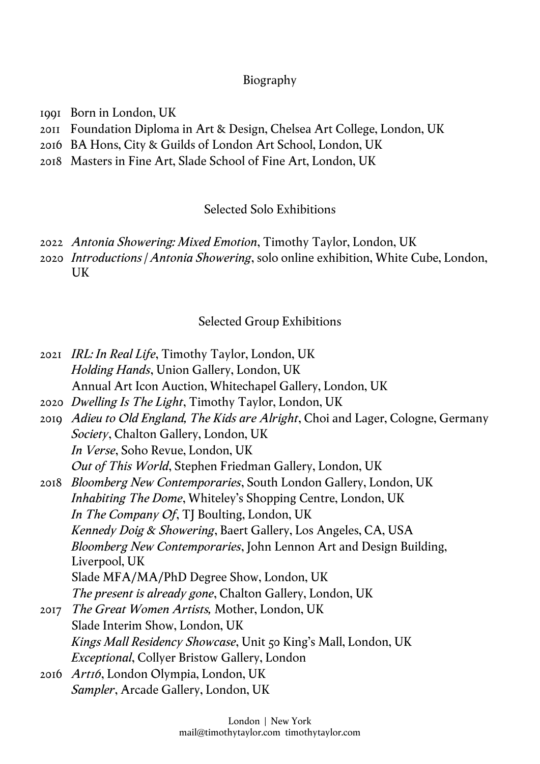### Biography

- 1991 Born in London, UK
- 2011 Foundation Diploma in Art & Design, Chelsea Art College, London, UK
- 2016 BA Hons, City & Guilds of London Art School, London, UK
- 2018 Masters in Fine Art, Slade School of Fine Art, London, UK

## Selected Solo Exhibitions

- 2022 *Antonia Showering: Mixed Emotion*, Timothy Taylor, London, UK
- 2020 *Introductions | Antonia Showering*, solo online exhibition, White Cube, London, UK

## Selected Group Exhibitions

| 2021 IRL: In Real Life, Timothy Taylor, London, UK                           |
|------------------------------------------------------------------------------|
| Holding Hands, Union Gallery, London, UK                                     |
| Annual Art Icon Auction, Whitechapel Gallery, London, UK                     |
| 2020 Dwelling Is The Light, Timothy Taylor, London, UK                       |
| Adieu to Old England, The Kids are Alright, Choi and Lager, Cologne, Germany |
| Society, Chalton Gallery, London, UK                                         |
| In Verse, Soho Revue, London, UK                                             |
| Out of This World, Stephen Friedman Gallery, London, UK                      |
| 2018 <i>Bloomberg New Contemporaries</i> , South London Gallery, London, UK  |
| <i>Inhabiting The Dome, Whiteley's Shopping Centre, London, UK</i>           |
| In The Company Of, TJ Boulting, London, UK                                   |
| Kennedy Doig & Showering, Baert Gallery, Los Angeles, CA, USA                |
| Bloomberg New Contemporaries, John Lennon Art and Design Building,           |
| Liverpool, UK                                                                |
| Slade MFA/MA/PhD Degree Show, London, UK                                     |
| The present is already gone, Chalton Gallery, London, UK                     |
| <i>The Great Women Artists, Mother, London, UK</i>                           |
| Slade Interim Show, London, UK                                               |
| <i>Kings Mall Residency Showcase</i> , Unit 50 King's Mall, London, UK       |
| <i>Exceptional</i> , Collyer Bristow Gallery, London                         |
| 2016 Art16, London Olympia, London, UK                                       |
| Sampler, Arcade Gallery, London, UK                                          |
|                                                                              |